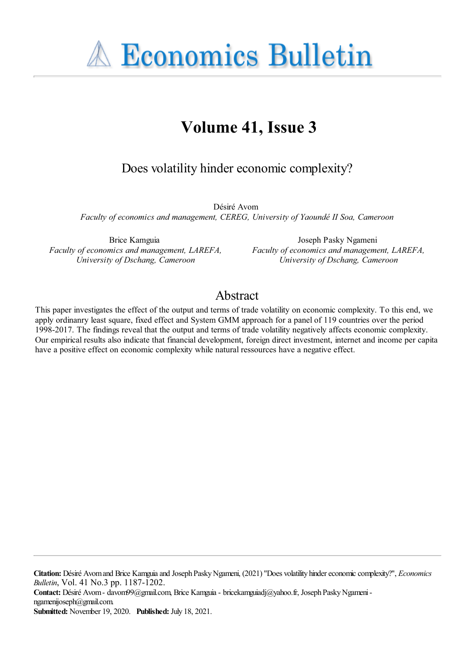**A Economics Bulletin** 

# **Volume 41, Issue 3**

Does volatility hinder economic complexity?

Désiré Avom *Faculty of economics and management, CEREG, University of Yaoundé II Soa, Cameroon*

Brice Kamguia *Faculty of economics and management, LAREFA, University of Dschang, Cameroon*

Joseph Pasky Ngameni *Faculty of economics and management, LAREFA, University of Dschang, Cameroon*

## Abstract

This paper investigates the effect of the output and terms of trade volatility on economic complexity. To this end, we apply ordinanry least square, fixed effect and System GMM approach for a panel of 119 countries over the period 1998-2017. The findings reveal that the output and terms of trade volatility negatively affects economic complexity. Our empirical results also indicate that financial development, foreign direct investment, internet and income per capita have a positive effect on economic complexity while natural ressources have a negative effect.

**Citation:** Désiré Avomand Brice Kamguiaand Joseph PaskyNgameni, (2021) ''Does volatility hindereconomiccomplexity?'', *Economics Bulletin*, Vol. 41 No.3 pp. 1187-1202.

**Contact:** Désiré Avom- davom99@gmail.com, Brice Kamguia- bricekamguiadj@yahoo.fr, Joseph PaskyNgameningamenijoseph@gmail.com.

**Submitted:** November 19, 2020. **Published:** July 18, 2021.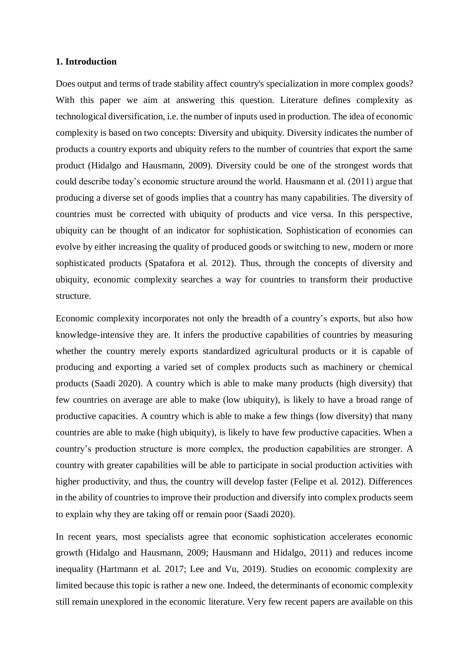#### **1. Introduction**

Does output and terms of trade stability affect country's specialization in more complex goods? With this paper we aim at answering this question. Literature defines complexity as technological diversification, i.e. the number of inputs used in production. The idea of economic complexity is based on two concepts: Diversity and ubiquity. Diversity indicates the number of products a country exports and ubiquity refers to the number of countries that export the same product (Hidalgo and Hausmann, 2009). Diversity could be one of the strongest words that could describe today's economic structure around the world. Hausmann et al. (2011) argue that producing a diverse set of goods implies that a country has many capabilities. The diversity of countries must be corrected with ubiquity of products and vice versa. In this perspective, ubiquity can be thought of an indicator for sophistication. Sophistication of economies can evolve by either increasing the quality of produced goods or switching to new, modern or more sophisticated products (Spatafora et al. 2012). Thus, through the concepts of diversity and ubiquity, economic complexity searches a way for countries to transform their productive structure.

Economic complexity incorporates not only the breadth of a country's exports, but also how knowledge-intensive they are. It infers the productive capabilities of countries by measuring whether the country merely exports standardized agricultural products or it is capable of producing and exporting a varied set of complex products such as machinery or chemical products (Saadi 2020). A country which is able to make many products (high diversity) that few countries on average are able to make (low ubiquity), is likely to have a broad range of productive capacities. A country which is able to make a few things (low diversity) that many countries are able to make (high ubiquity), is likely to have few productive capacities. When a country's production structure is more complex, the production capabilities are stronger. A country with greater capabilities will be able to participate in social production activities with higher productivity, and thus, the country will develop faster (Felipe et al. 2012). Differences in the ability of countries to improve their production and diversify into complex products seem to explain why they are taking off or remain poor (Saadi 2020).

In recent years, most specialists agree that economic sophistication accelerates economic growth (Hidalgo and Hausmann, 2009; Hausmann and Hidalgo, 2011) and reduces income inequality (Hartmann et al. 2017; Lee and Vu, 2019). Studies on economic complexity are limited because this topic is rather a new one. Indeed, the determinants of economic complexity still remain unexplored in the economic literature. Very few recent papers are available on this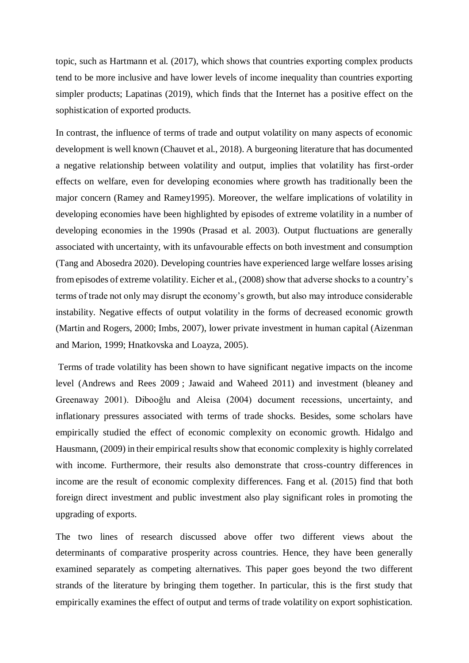topic, such as Hartmann et al. (2017), which shows that countries exporting complex products tend to be more inclusive and have lower levels of income inequality than countries exporting simpler products; Lapatinas (2019), which finds that the Internet has a positive effect on the sophistication of exported products.

In contrast, the influence of terms of trade and output volatility on many aspects of economic development is well known (Chauvet et al., 2018). A burgeoning literature that has documented a negative relationship between volatility and output, implies that volatility has first-order effects on welfare, even for developing economies where growth has traditionally been the major concern (Ramey and Ramey1995). Moreover, the welfare implications of volatility in developing economies have been highlighted by episodes of extreme volatility in a number of developing economies in the 1990s (Prasad et al. 2003). Output fluctuations are generally associated with uncertainty, with its unfavourable effects on both investment and consumption (Tang and Abosedra 2020). Developing countries have experienced large welfare losses arising from episodes of extreme volatility. Eicher et al., (2008) show that adverse shocks to a country's terms of trade not only may disrupt the economy's growth, but also may introduce considerable instability. Negative effects of output volatility in the forms of decreased economic growth (Martin and Rogers, 2000; Imbs, 2007), lower private investment in human capital (Aizenman and Marion, 1999; Hnatkovska and Loayza, 2005).

Terms of trade volatility has been shown to have significant negative impacts on the income level (Andrews and Rees 2009 ; Jawaid and Waheed 2011) and investment (bleaney and Greenaway 2001). Dibooğlu and Aleisa (2004) document recessions, uncertainty, and inflationary pressures associated with terms of trade shocks. Besides, some scholars have empirically studied the effect of economic complexity on economic growth. Hidalgo and Hausmann, (2009) in their empirical results show that economic complexity is highly correlated with income. Furthermore, their results also demonstrate that cross-country differences in income are the result of economic complexity differences. Fang et al. (2015) find that both foreign direct investment and public investment also play significant roles in promoting the upgrading of exports.

The two lines of research discussed above offer two different views about the determinants of comparative prosperity across countries. Hence, they have been generally examined separately as competing alternatives. This paper goes beyond the two different strands of the literature by bringing them together. In particular, this is the first study that empirically examines the effect of output and terms of trade volatility on export sophistication.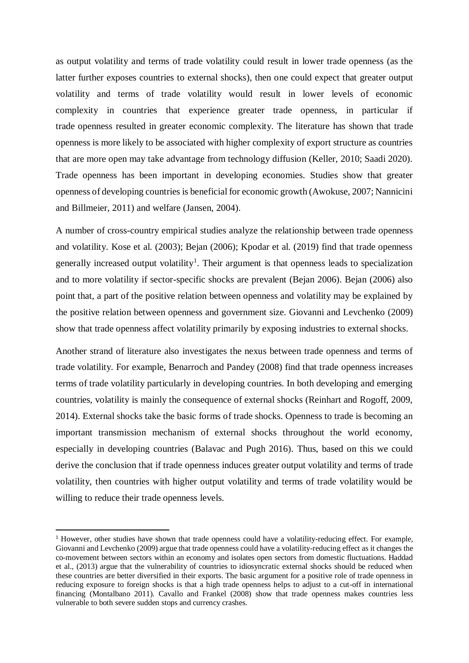as output volatility and terms of trade volatility could result in lower trade openness (as the latter further exposes countries to external shocks), then one could expect that greater output volatility and terms of trade volatility would result in lower levels of economic complexity in countries that experience greater trade openness, in particular if trade openness resulted in greater economic complexity. The literature has shown that trade openness is more likely to be associated with higher complexity of export structure as countries that are more open may take advantage from technology diffusion (Keller, 2010; Saadi 2020). Trade openness has been important in developing economies. Studies show that greater openness of developing countries is beneficial for economic growth (Awokuse, 2007; Nannicini and Billmeier, 2011) and welfare (Jansen, 2004).

A number of cross-country empirical studies analyze the relationship between trade openness and volatility. Kose et al. (2003); Bejan (2006); Kpodar et al. (2019) find that trade openness generally increased output volatility<sup>1</sup>. Their argument is that openness leads to specialization and to more volatility if sector-specific shocks are prevalent (Bejan 2006). Bejan (2006) also point that, a part of the positive relation between openness and volatility may be explained by the positive relation between openness and government size. Giovanni and Levchenko (2009) show that trade openness affect volatility primarily by exposing industries to external shocks.

Another strand of literature also investigates the nexus between trade openness and terms of trade volatility. For example, Benarroch and Pandey (2008) find that trade openness increases terms of trade volatility particularly in developing countries. In both developing and emerging countries, volatility is mainly the consequence of external shocks (Reinhart and Rogoff, 2009, 2014). External shocks take the basic forms of trade shocks. Openness to trade is becoming an important transmission mechanism of external shocks throughout the world economy, especially in developing countries (Balavac and Pugh 2016). Thus, based on this we could derive the conclusion that if trade openness induces greater output volatility and terms of trade volatility, then countries with higher output volatility and terms of trade volatility would be willing to reduce their trade openness levels.

-

<sup>1</sup> However, other studies have shown that trade openness could have a volatility-reducing effect. For example, Giovanni and Levchenko (2009) argue that trade openness could have a volatility-reducing effect as it changes the co-movement between sectors within an economy and isolates open sectors from domestic fluctuations. Haddad et al., (2013) argue that the vulnerability of countries to idiosyncratic external shocks should be reduced when these countries are better diversified in their exports. The basic argument for a positive role of trade openness in reducing exposure to foreign shocks is that a high trade openness helps to adjust to a cut-off in international financing (Montalbano 2011). Cavallo and Frankel (2008) show that trade openness makes countries less vulnerable to both severe sudden stops and currency crashes.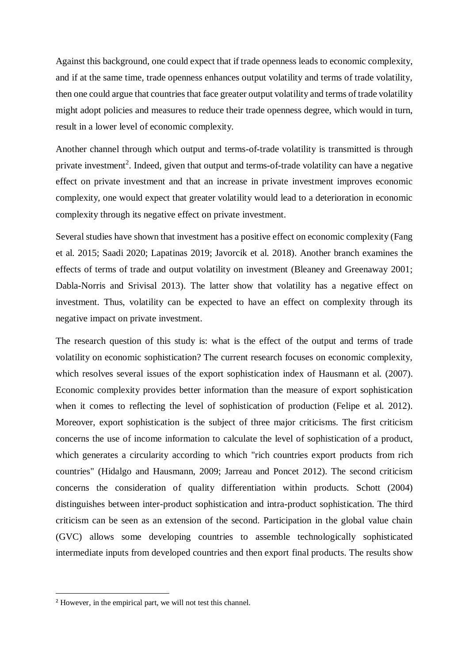Against this background, one could expect that if trade openness leads to economic complexity, and if at the same time, trade openness enhances output volatility and terms of trade volatility, then one could argue that countries that face greater output volatility and terms of trade volatility might adopt policies and measures to reduce their trade openness degree, which would in turn, result in a lower level of economic complexity.

Another channel through which output and terms-of-trade volatility is transmitted is through private investment<sup>2</sup>. Indeed, given that output and terms-of-trade volatility can have a negative effect on private investment and that an increase in private investment improves economic complexity, one would expect that greater volatility would lead to a deterioration in economic complexity through its negative effect on private investment.

Several studies have shown that investment has a positive effect on economic complexity (Fang et al. 2015; Saadi 2020; Lapatinas 2019; Javorcik et al. 2018). Another branch examines the effects of terms of trade and output volatility on investment (Bleaney and Greenaway 2001; Dabla-Norris and Srivisal 2013). The latter show that volatility has a negative effect on investment. Thus, volatility can be expected to have an effect on complexity through its negative impact on private investment.

The research question of this study is: what is the effect of the output and terms of trade volatility on economic sophistication? The current research focuses on economic complexity, which resolves several issues of the export sophistication index of Hausmann et al. (2007). Economic complexity provides better information than the measure of export sophistication when it comes to reflecting the level of sophistication of production (Felipe et al. 2012). Moreover, export sophistication is the subject of three major criticisms. The first criticism concerns the use of income information to calculate the level of sophistication of a product, which generates a circularity according to which "rich countries export products from rich countries" (Hidalgo and Hausmann, 2009; Jarreau and Poncet 2012). The second criticism concerns the consideration of quality differentiation within products. Schott (2004) distinguishes between inter-product sophistication and intra-product sophistication. The third criticism can be seen as an extension of the second. Participation in the global value chain (GVC) allows some developing countries to assemble technologically sophisticated intermediate inputs from developed countries and then export final products. The results show

**.** 

<sup>2</sup> However, in the empirical part, we will not test this channel.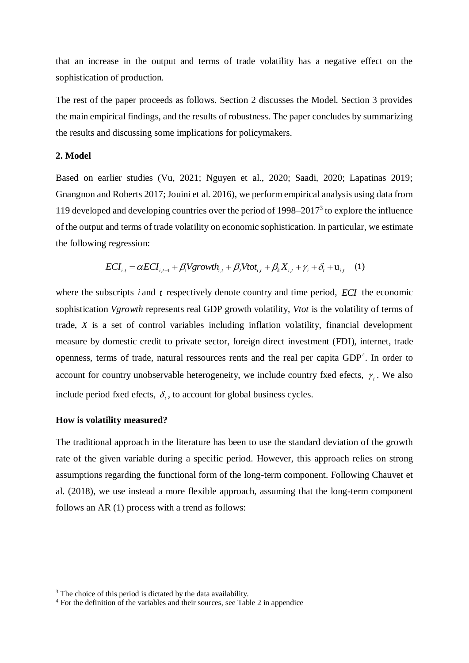that an increase in the output and terms of trade volatility has a negative effect on the sophistication of production.

The rest of the paper proceeds as follows. Section 2 discusses the Model. Section 3 provides the main empirical findings, and the results of robustness. The paper concludes by summarizing the results and discussing some implications for policymakers.

### **2. Model**

Based on earlier studies (Vu, 2021; Nguyen et al., 2020; Saadi, 2020; Lapatinas 2019; Gnangnon and Roberts 2017; Jouini et al. 2016), we perform empirical analysis using data from 119 developed and developing countries over the period of  $1998-2017<sup>3</sup>$  to explore the influence of the output and terms of trade volatility on economic sophistication. In particular, we estimate the following regression:

$$
ECI_{i,t} = \alpha ECI_{i,t-1} + \beta_1 Vgrowth_{i,t} + \beta_2 Vtot_{i,t} + \beta_k X_{i,t} + \gamma_i + \delta_t + \mathbf{u}_{i,t} \tag{1}
$$

where the subscripts  $i$  and  $t$  respectively denote country and time period,  $ECI$  the economic sophistication *Vgrowth* represents real GDP growth volatility, *Vtot* is the volatility of terms of trade, *X* is a set of control variables including inflation volatility, financial development measure by domestic credit to private sector, foreign direct investment (FDI), internet, trade openness, terms of trade, natural ressources rents and the real per capita  $GDP<sup>4</sup>$ . In order to account for country unobservable heterogeneity, we include country fxed efects,  $\gamma_i$ . We also include period fxed efects,  $\delta_t$ , to account for global business cycles.

### **How is volatility measured?**

**.** 

The traditional approach in the literature has been to use the standard deviation of the growth rate of the given variable during a specific period. However, this approach relies on strong assumptions regarding the functional form of the long-term component. Following Chauvet et al. (2018), we use instead a more flexible approach, assuming that the long-term component follows an AR (1) process with a trend as follows:

 $3$  The choice of this period is dictated by the data availability.

<sup>&</sup>lt;sup>4</sup> For the definition of the variables and their sources, see Table 2 in appendice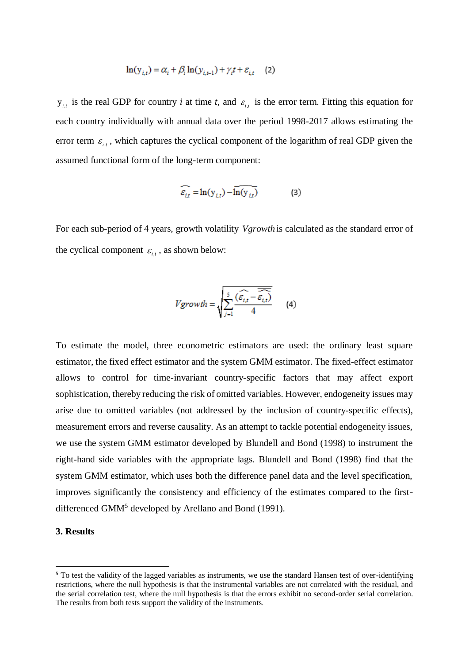$$
\ln(y_{i,t}) = \alpha_i + \beta_i \ln(y_{i,t-1}) + \gamma_i t + \varepsilon_{i,t} \quad (2)
$$

 $y_{i,t}$  is the real GDP for country *i* at time *t*, and  $\varepsilon_{i,t}$  is the error term. Fitting this equation for each country individually with annual data over the period 1998-2017 allows estimating the error term  $\varepsilon_{i,t}$ , which captures the cyclical component of the logarithm of real GDP given the assumed functional form of the long-term component:

$$
\widehat{\varepsilon_{i,t}} = \ln(y_{i,t}) - \widehat{\ln(y_{i,t})}
$$
 (3)

For each sub-period of 4 years, growth volatility *Vgrowth* is calculated as the standard error of the cyclical component  $\varepsilon_{i,t}$ , as shown below:

$$
Vgrowth = \sqrt{\sum_{j=1}^{5} \frac{\widehat{(\varepsilon_{i,t} - \varepsilon_{i,t})}}{4}} \qquad (4)
$$

To estimate the model, three econometric estimators are used: the ordinary least square estimator, the fixed effect estimator and the system GMM estimator. The fixed-effect estimator allows to control for time-invariant country-specific factors that may affect export sophistication, thereby reducing the risk of omitted variables. However, endogeneity issues may arise due to omitted variables (not addressed by the inclusion of country-specific effects), measurement errors and reverse causality. As an attempt to tackle potential endogeneity issues, we use the system GMM estimator developed by Blundell and Bond (1998) to instrument the right-hand side variables with the appropriate lags. Blundell and Bond (1998) find that the system GMM estimator, which uses both the difference panel data and the level specification, improves significantly the consistency and efficiency of the estimates compared to the firstdifferenced GMM<sup>5</sup> developed by Arellano and Bond (1991).

### **3. Results**

-

<sup>&</sup>lt;sup>5</sup> To test the validity of the lagged variables as instruments, we use the standard Hansen test of over-identifying restrictions, where the null hypothesis is that the instrumental variables are not correlated with the residual, and the serial correlation test, where the null hypothesis is that the errors exhibit no second-order serial correlation. The results from both tests support the validity of the instruments.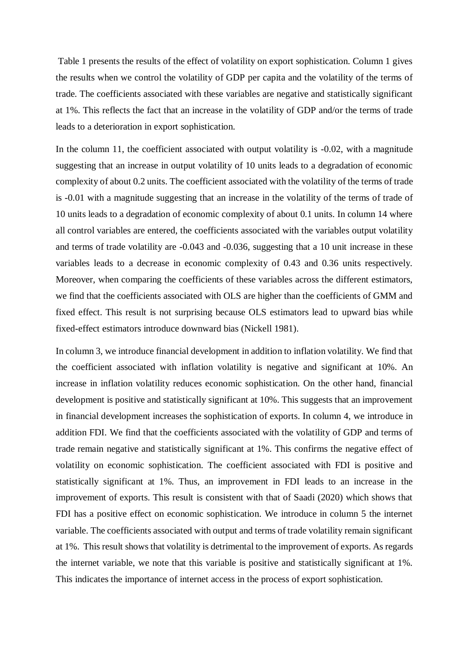Table 1 presents the results of the effect of volatility on export sophistication. Column 1 gives the results when we control the volatility of GDP per capita and the volatility of the terms of trade. The coefficients associated with these variables are negative and statistically significant at 1%. This reflects the fact that an increase in the volatility of GDP and/or the terms of trade leads to a deterioration in export sophistication.

In the column 11, the coefficient associated with output volatility is -0.02, with a magnitude suggesting that an increase in output volatility of 10 units leads to a degradation of economic complexity of about 0.2 units. The coefficient associated with the volatility of the terms of trade is -0.01 with a magnitude suggesting that an increase in the volatility of the terms of trade of 10 units leads to a degradation of economic complexity of about 0.1 units. In column 14 where all control variables are entered, the coefficients associated with the variables output volatility and terms of trade volatility are -0.043 and -0.036, suggesting that a 10 unit increase in these variables leads to a decrease in economic complexity of 0.43 and 0.36 units respectively. Moreover, when comparing the coefficients of these variables across the different estimators, we find that the coefficients associated with OLS are higher than the coefficients of GMM and fixed effect. This result is not surprising because OLS estimators lead to upward bias while fixed-effect estimators introduce downward bias (Nickell 1981).

In column 3, we introduce financial development in addition to inflation volatility. We find that the coefficient associated with inflation volatility is negative and significant at 10%. An increase in inflation volatility reduces economic sophistication. On the other hand, financial development is positive and statistically significant at 10%. This suggests that an improvement in financial development increases the sophistication of exports. In column 4, we introduce in addition FDI. We find that the coefficients associated with the volatility of GDP and terms of trade remain negative and statistically significant at 1%. This confirms the negative effect of volatility on economic sophistication. The coefficient associated with FDI is positive and statistically significant at 1%. Thus, an improvement in FDI leads to an increase in the improvement of exports. This result is consistent with that of Saadi (2020) which shows that FDI has a positive effect on economic sophistication. We introduce in column 5 the internet variable. The coefficients associated with output and terms of trade volatility remain significant at 1%. This result shows that volatility is detrimental to the improvement of exports. As regards the internet variable, we note that this variable is positive and statistically significant at 1%. This indicates the importance of internet access in the process of export sophistication.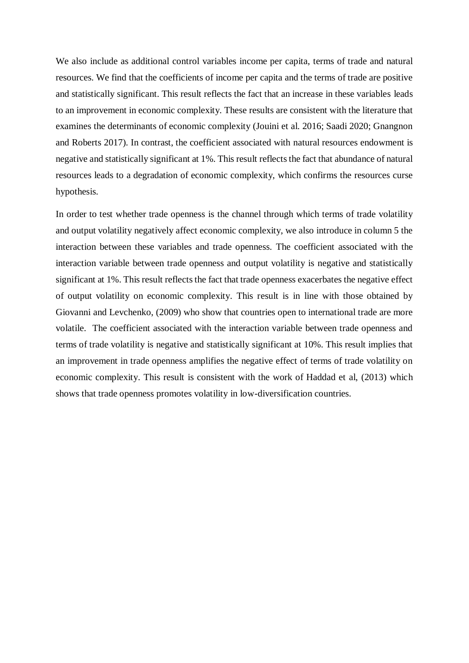We also include as additional control variables income per capita, terms of trade and natural resources. We find that the coefficients of income per capita and the terms of trade are positive and statistically significant. This result reflects the fact that an increase in these variables leads to an improvement in economic complexity. These results are consistent with the literature that examines the determinants of economic complexity (Jouini et al. 2016; Saadi 2020; Gnangnon and Roberts 2017). In contrast, the coefficient associated with natural resources endowment is negative and statistically significant at 1%. This result reflects the fact that abundance of natural resources leads to a degradation of economic complexity, which confirms the resources curse hypothesis.

In order to test whether trade openness is the channel through which terms of trade volatility and output volatility negatively affect economic complexity, we also introduce in column 5 the interaction between these variables and trade openness. The coefficient associated with the interaction variable between trade openness and output volatility is negative and statistically significant at 1%. This result reflects the fact that trade openness exacerbates the negative effect of output volatility on economic complexity. This result is in line with those obtained by Giovanni and Levchenko, (2009) who show that countries open to international trade are more volatile. The coefficient associated with the interaction variable between trade openness and terms of trade volatility is negative and statistically significant at 10%. This result implies that an improvement in trade openness amplifies the negative effect of terms of trade volatility on economic complexity. This result is consistent with the work of Haddad et al, (2013) which shows that trade openness promotes volatility in low-diversification countries.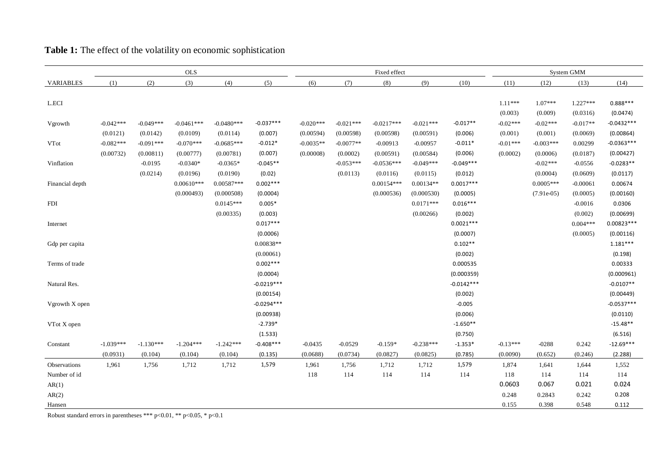|                  | <b>OLS</b>  |             |              |              |              | Fixed effect |             |              |             |              | System GMM |              |            |              |
|------------------|-------------|-------------|--------------|--------------|--------------|--------------|-------------|--------------|-------------|--------------|------------|--------------|------------|--------------|
| <b>VARIABLES</b> | (1)         | (2)         | (3)          | (4)          | (5)          | (6)          | (7)         | (8)          | (9)         | (10)         | (11)       | (12)         | (13)       | (14)         |
|                  |             |             |              |              |              |              |             |              |             |              |            |              |            |              |
| L.ECI            |             |             |              |              |              |              |             |              |             |              | $1.11***$  | $1.07***$    | $1.227***$ | $0.888***$   |
|                  |             |             |              |              |              |              |             |              |             |              | (0.003)    | (0.009)      | (0.0316)   | (0.0474)     |
| Vgrowth          | $-0.042***$ | $-0.049***$ | $-0.0461***$ | $-0.0480***$ | $-0.037***$  | $-0.020***$  | $-0.021***$ | $-0.0217***$ | $-0.021***$ | $-0.017**$   | $-0.02***$ | $-0.02***$   | $-0.017**$ | $-0.0432***$ |
|                  | (0.0121)    | (0.0142)    | (0.0109)     | (0.0114)     | (0.007)      | (0.00594)    | (0.00598)   | (0.00598)    | (0.00591)   | (0.006)      | (0.001)    | (0.001)      | (0.0069)   | (0.00864)    |
| ${\rm VTot}$     | $-0.082***$ | $-0.091***$ | $-0.070***$  | $-0.0685***$ | $-0.012*$    | $-0.0035**$  | $-0.0077**$ | $-0.00913$   | $-0.00957$  | $-0.011*$    | $-0.01***$ | $-0.003***$  | 0.00299    | $-0.0363***$ |
|                  | (0.00732)   | (0.00811)   | (0.00777)    | (0.00781)    | (0.007)      | (0.00008)    | (0.0002)    | (0.00591)    | (0.00584)   | (0.006)      | (0.0002)   | (0.0006)     | (0.0187)   | (0.00427)    |
| Vinflation       |             | $-0.0195$   | $-0.0340*$   | $-0.0365*$   | $-0.045**$   |              | $-0.053***$ | $-0.0536***$ | $-0.049***$ | $-0.049***$  |            | $-0.02***$   | $-0.0556$  | $-0.0283**$  |
|                  |             | (0.0214)    | (0.0196)     | (0.0190)     | (0.02)       |              | (0.0113)    | (0.0116)     | (0.0115)    | (0.012)      |            | (0.0004)     | (0.0609)   | (0.0117)     |
| Financial depth  |             |             | $0.00610***$ | $0.00587***$ | $0.002***$   |              |             | $0.00154***$ | $0.00134**$ | $0.0017***$  |            | $0.0005***$  | $-0.00061$ | 0.00674      |
|                  |             |             | (0.000493)   | (0.000508)   | (0.0004)     |              |             | (0.000536)   | (0.000530)  | (0.0005)     |            | $(7.91e-05)$ | (0.0005)   | (0.00160)    |
| <b>FDI</b>       |             |             |              | $0.0145***$  | $0.005*$     |              |             |              | $0.0171***$ | $0.016***$   |            |              | $-0.0016$  | 0.0306       |
|                  |             |             |              | (0.00335)    | (0.003)      |              |             |              | (0.00266)   | (0.002)      |            |              | (0.002)    | (0.00699)    |
| Internet         |             |             |              |              | $0.017***$   |              |             |              |             | $0.0021***$  |            |              | $0.004***$ | $0.00823***$ |
|                  |             |             |              |              | (0.0006)     |              |             |              |             | (0.0007)     |            |              | (0.0005)   | (0.00116)    |
| Gdp per capita   |             |             |              |              | 0.00838**    |              |             |              |             | $0.102**$    |            |              |            | $1.181***$   |
|                  |             |             |              |              | (0.00061)    |              |             |              |             | (0.002)      |            |              |            | (0.198)      |
| Terms of trade   |             |             |              |              | $0.002***$   |              |             |              |             | 0.000535     |            |              |            | 0.00333      |
|                  |             |             |              |              | (0.0004)     |              |             |              |             | (0.000359)   |            |              |            | (0.000961)   |
| Natural Res.     |             |             |              |              | $-0.0219***$ |              |             |              |             | $-0.0142***$ |            |              |            | $-0.0107**$  |
|                  |             |             |              |              | (0.00154)    |              |             |              |             | (0.002)      |            |              |            | (0.00449)    |
| Vgrowth X open   |             |             |              |              | $-0.0294***$ |              |             |              |             | $-0.005$     |            |              |            | $-0.0537***$ |
|                  |             |             |              |              | (0.00938)    |              |             |              |             | (0.006)      |            |              |            | (0.0110)     |
| VTot X open      |             |             |              |              | $-2.739*$    |              |             |              |             | $-1.650**$   |            |              |            | $-15.48**$   |
|                  |             |             |              |              | (1.533)      |              |             |              |             | (0.750)      |            |              |            | (6.516)      |
| Constant         | $-1.039***$ | $-1.130***$ | $-1.204***$  | $-1.242***$  | $-0.408***$  | $-0.0435$    | $-0.0529$   | $-0.159*$    | $-0.238***$ | $-1.353*$    | $-0.13***$ | $-0288$      | 0.242      | $-12.69***$  |
|                  | (0.0931)    | (0.104)     | (0.104)      | (0.104)      | (0.135)      | (0.0688)     | (0.0734)    | (0.0827)     | (0.0825)    | (0.785)      | (0.0090)   | (0.652)      | (0.246)    | (2.288)      |
| Observations     | 1,961       | 1,756       | 1,712        | 1,712        | 1,579        | 1,961        | 1,756       | 1,712        | 1,712       | 1,579        | 1,874      | 1,641        | 1,644      | 1,552        |
| Number of id     |             |             |              |              |              | 118          | 114         | 114          | 114         | 114          | 118        | 114          | 114        | 114          |
| AR(1)            |             |             |              |              |              |              |             |              |             |              | 0.0603     | 0.067        | 0.021      | 0.024        |
| AR(2)            |             |             |              |              |              |              |             |              |             |              | 0.248      | 0.2843       | 0.242      | 0.208        |
| Hansen           |             |             |              |              |              |              |             |              |             |              | 0.155      | 0.398        | 0.548      | 0.112        |

# **Table 1:** The effect of the volatility on economic sophistication

Robust standard errors in parentheses \*\*\* p<0.01, \*\* p<0.05, \* p<0.1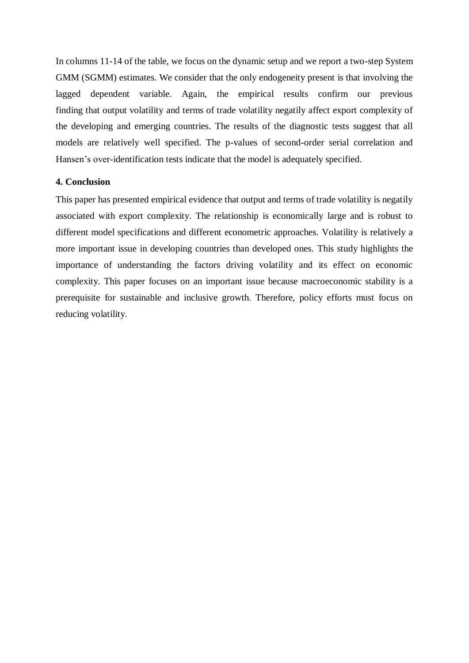In columns 11-14 of the table, we focus on the dynamic setup and we report a two-step System GMM (SGMM) estimates. We consider that the only endogeneity present is that involving the lagged dependent variable. Again, the empirical results confirm our previous finding that output volatility and terms of trade volatility negatily affect export complexity of the developing and emerging countries. The results of the diagnostic tests suggest that all models are relatively well specified. The p-values of second-order serial correlation and Hansen's over-identification tests indicate that the model is adequately specified.

#### **4. Conclusion**

This paper has presented empirical evidence that output and terms of trade volatility is negatily associated with export complexity. The relationship is economically large and is robust to different model specifications and different econometric approaches. Volatility is relatively a more important issue in developing countries than developed ones. This study highlights the importance of understanding the factors driving volatility and its effect on economic complexity. This paper focuses on an important issue because macroeconomic stability is a prerequisite for sustainable and inclusive growth. Therefore, policy efforts must focus on reducing volatility.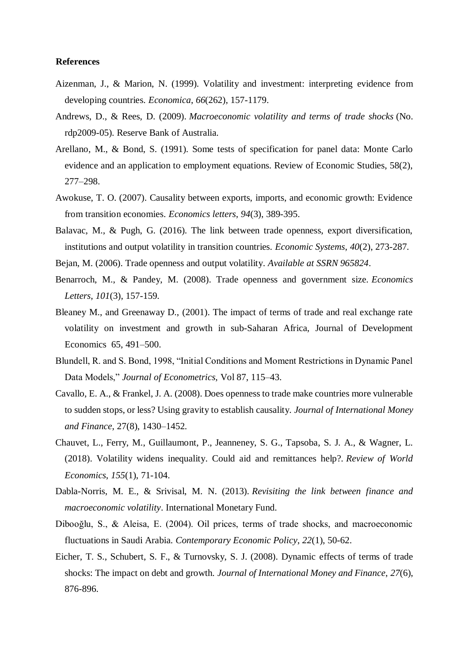#### **References**

- Aizenman, J., & Marion, N. (1999). Volatility and investment: interpreting evidence from developing countries. *Economica*, *66*(262), 157-1179.
- Andrews, D., & Rees, D. (2009). *Macroeconomic volatility and terms of trade shocks* (No. rdp2009-05). Reserve Bank of Australia.
- Arellano, M., & Bond, S. (1991). Some tests of specification for panel data: Monte Carlo evidence and an application to employment equations. Review of Economic Studies, 58(2), 277–298.
- Awokuse, T. O. (2007). Causality between exports, imports, and economic growth: Evidence from transition economies. *Economics letters*, *94*(3), 389-395.
- Balavac, M., & Pugh, G. (2016). The link between trade openness, export diversification, institutions and output volatility in transition countries. *Economic Systems*, *40*(2), 273-287.
- Bejan, M. (2006). Trade openness and output volatility. *Available at SSRN 965824*.
- Benarroch, M., & Pandey, M. (2008). Trade openness and government size. *Economics Letters*, *101*(3), 157-159.
- Bleaney M., and Greenaway D., (2001). The impact of terms of trade and real exchange rate volatility on investment and growth in sub-Saharan Africa, Journal of Development Economics 65, 491–500.
- Blundell, R. and S. Bond, 1998, "Initial Conditions and Moment Restrictions in Dynamic Panel Data Models," *Journal of Econometrics,* Vol 87, 115–43.
- Cavallo, E. A., & Frankel, J. A. (2008). Does openness to trade make countries more vulnerable to sudden stops, or less? Using gravity to establish causality. *Journal of International Money and Finance*, 27(8), 1430–1452.
- Chauvet, L., Ferry, M., Guillaumont, P., Jeanneney, S. G., Tapsoba, S. J. A., & Wagner, L. (2018). Volatility widens inequality. Could aid and remittances help?. *Review of World Economics*, *155*(1), 71-104.
- Dabla-Norris, M. E., & Srivisal, M. N. (2013). *Revisiting the link between finance and macroeconomic volatility*. International Monetary Fund.
- Dibooğlu, S., & Aleisa, E. (2004). Oil prices, terms of trade shocks, and macroeconomic fluctuations in Saudi Arabia. *Contemporary Economic Policy*, *22*(1), 50-62.
- Eicher, T. S., Schubert, S. F., & Turnovsky, S. J. (2008). Dynamic effects of terms of trade shocks: The impact on debt and growth. *Journal of International Money and Finance*, *27*(6), 876-896.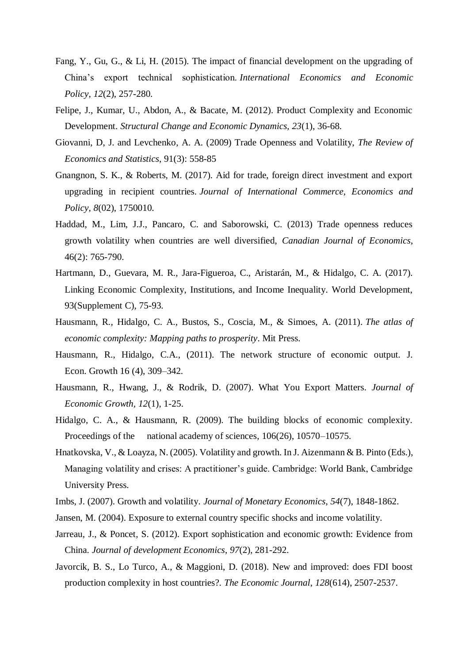- Fang, Y., Gu, G., & Li, H. (2015). The impact of financial development on the upgrading of China's export technical sophistication. *International Economics and Economic Policy*, *12*(2), 257-280.
- Felipe, J., Kumar, U., Abdon, A., & Bacate, M. (2012). Product Complexity and Economic Development. *Structural Change and Economic Dynamics, 23*(1), 36-68.
- Giovanni, D, J. and Levchenko, A. A. (2009) Trade Openness and Volatility, *The Review of Economics and Statistics*, 91(3): 558-85
- Gnangnon, S. K., & Roberts, M. (2017). Aid for trade, foreign direct investment and export upgrading in recipient countries. *Journal of International Commerce, Economics and Policy*, *8*(02), 1750010.
- Haddad, M., Lim, J.J., Pancaro, C. and Saborowski, C. (2013) Trade openness reduces growth volatility when countries are well diversified, *Canadian Journal of Economics*, 46(2): 765-790.
- Hartmann, D., Guevara, M. R., Jara-Figueroa, C., Aristarán, M., & Hidalgo, C. A. (2017). Linking Economic Complexity, Institutions, and Income Inequality. World Development, 93(Supplement C), 75-93.
- Hausmann, R., Hidalgo, C. A., Bustos, S., Coscia, M., & Simoes, A. (2011). *The atlas of economic complexity: Mapping paths to prosperity*. Mit Press.
- Hausmann, R., Hidalgo, C.A., (2011). The network structure of economic output. J. Econ. Growth 16 (4), 309–342.
- Hausmann, R., Hwang, J., & Rodrik, D. (2007). What You Export Matters. *Journal of Economic Growth, 12*(1), 1-25.
- Hidalgo, C. A., & Hausmann, R. (2009). The building blocks of economic complexity. Proceedings of the national academy of sciences, 106(26), 10570–10575.
- Hnatkovska, V., & Loayza, N. (2005). Volatility and growth. In J. Aizenmann & B. Pinto (Eds.), Managing volatility and crises: A practitioner's guide. Cambridge: World Bank, Cambridge University Press.
- Imbs, J. (2007). Growth and volatility. *Journal of Monetary Economics*, *54*(7), 1848-1862.
- Jansen, M. (2004). Exposure to external country specific shocks and income volatility.
- Jarreau, J., & Poncet, S. (2012). Export sophistication and economic growth: Evidence from China. *Journal of development Economics*, *97*(2), 281-292.
- Javorcik, B. S., Lo Turco, A., & Maggioni, D. (2018). New and improved: does FDI boost production complexity in host countries?. *The Economic Journal*, *128*(614), 2507-2537.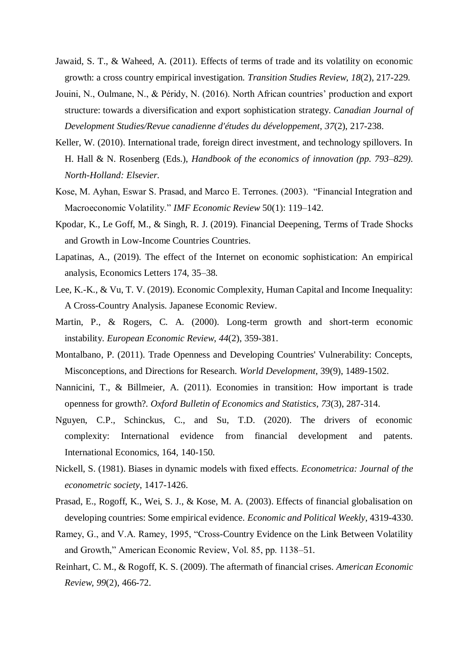- Jawaid, S. T., & Waheed, A. (2011). Effects of terms of trade and its volatility on economic growth: a cross country empirical investigation. *Transition Studies Review*, *18*(2), 217-229.
- Jouini, N., Oulmane, N., & Péridy, N. (2016). North African countries' production and export structure: towards a diversification and export sophistication strategy. *Canadian Journal of Development Studies/Revue canadienne d'études du développement*, *37*(2), 217-238.
- Keller, W. (2010). International trade, foreign direct investment, and technology spillovers. In H. Hall & N. Rosenberg (Eds.), *Handbook of the economics of innovation (pp. 793–829). North-Holland: Elsevier.*
- Kose, M. Ayhan, Eswar S. Prasad, and Marco E. Terrones. (2003). "Financial Integration and Macroeconomic Volatility." *IMF Economic Review* 50(1): 119–142.
- Kpodar, K., Le Goff, M., & Singh, R. J. (2019). Financial Deepening, Terms of Trade Shocks and Growth in Low-Income Countries Countries.
- Lapatinas, A., (2019). The effect of the Internet on economic sophistication: An empirical analysis, Economics Letters 174, 35–38.
- Lee, K.-K., & Vu, T. V. (2019). Economic Complexity, Human Capital and Income Inequality: A Cross-Country Analysis. Japanese Economic Review.
- Martin, P., & Rogers, C. A. (2000). Long-term growth and short-term economic instability. *European Economic Review*, *44*(2), 359-381.
- Montalbano, P. (2011). Trade Openness and Developing Countries' Vulnerability: Concepts, Misconceptions, and Directions for Research. *World Development*, 39(9), 1489-1502.
- Nannicini, T., & Billmeier, A. (2011). Economies in transition: How important is trade openness for growth?. *Oxford Bulletin of Economics and Statistics*, *73*(3), 287-314.
- Nguyen, C.P., Schinckus, C., and Su, T.D. (2020). The drivers of economic complexity: International evidence from financial development and patents. International Economics, 164, 140-150.
- Nickell, S. (1981). Biases in dynamic models with fixed effects. *Econometrica: Journal of the econometric society*, 1417-1426.
- Prasad, E., Rogoff, K., Wei, S. J., & Kose, M. A. (2003). Effects of financial globalisation on developing countries: Some empirical evidence. *Economic and Political Weekly*, 4319-4330.
- Ramey, G., and V.A. Ramey, 1995, "Cross-Country Evidence on the Link Between Volatility and Growth," American Economic Review, Vol. 85, pp. 1138–51.
- Reinhart, C. M., & Rogoff, K. S. (2009). The aftermath of financial crises. *American Economic Review*, *99*(2), 466-72.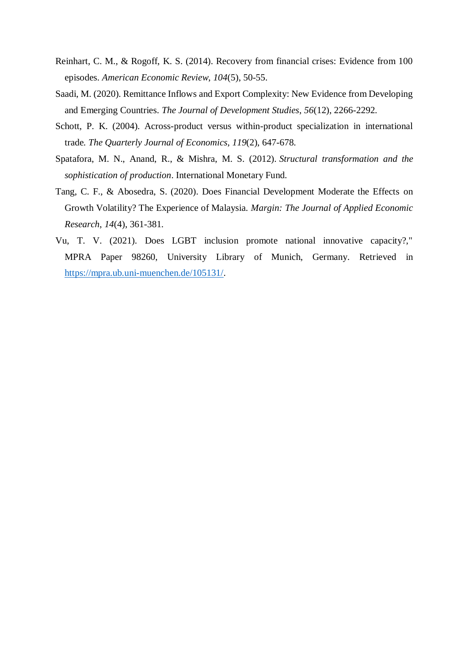- Reinhart, C. M., & Rogoff, K. S. (2014). Recovery from financial crises: Evidence from 100 episodes. *American Economic Review*, *104*(5), 50-55.
- Saadi, M. (2020). Remittance Inflows and Export Complexity: New Evidence from Developing and Emerging Countries. *The Journal of Development Studies*, *56*(12), 2266-2292.
- Schott, P. K. (2004). Across-product versus within-product specialization in international trade. *The Quarterly Journal of Economics*, *119*(2), 647-678.
- Spatafora, M. N., Anand, R., & Mishra, M. S. (2012). *Structural transformation and the sophistication of production*. International Monetary Fund.
- Tang, C. F., & Abosedra, S. (2020). Does Financial Development Moderate the Effects on Growth Volatility? The Experience of Malaysia. *Margin: The Journal of Applied Economic Research*, *14*(4), 361-381.
- Vu, T. V. (2021). Does LGBT inclusion promote national innovative capacity?," MPRA Paper 98260, University Library of Munich, Germany. Retrieved in [https://mpra.ub.uni-muenchen.de/105131/.](https://mpra.ub.uni-muenchen.de/105131/)